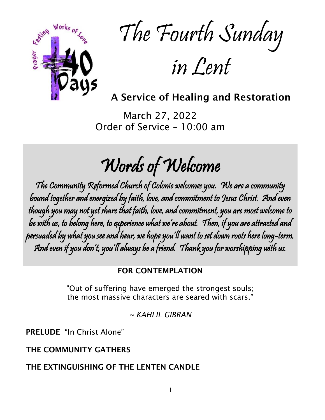

The Fourth Sunday

in Lent

A Service of Healing and Restoration

March 27, 2022 Order of Service – 10:00 am

Words of Welcome

The Community Reformed Church of Colonie welcomes you. We are a community bound together and energized by faith, love, and commitment to Jesus Christ. And even though you may not yet share that faith, love, and commitment, you are most welcome to be with us, to belong here, to experience what we're about. Then, if you are attracted and persuaded by what you see and hear, we hope you'll want to set down roots here long-term. And even if you don't, you'll always be a friend. Thank you for worshipping with us.

## FOR CONTEMPLATION

"Out of suffering have emerged the strongest souls; the most massive characters are seared with scars."

*~ KAHLIL GIBRAN*

PRELUDE "In Christ Alone"

## THE COMMUNITY GATHERS

THE EXTINGUISHING OF THE LENTEN CANDLE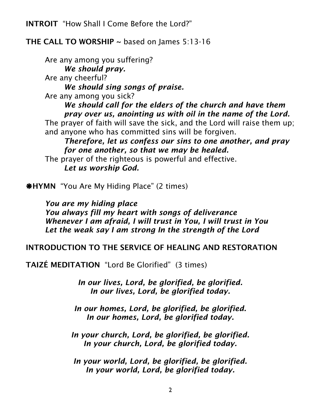INTROIT "How Shall I Come Before the Lord?"

# THE CALL TO WORSHIP  $\sim$  based on James 5:13-16

Are any among you suffering? *We should pray.*  Are any cheerful? *We should sing songs of praise.*  Are any among you sick? *We should call for the elders of the church and have them pray over us, anointing us with oil in the name of the Lord.*  The prayer of faith will save the sick, and the Lord will raise them up; and anyone who has committed sins will be forgiven. *Therefore, let us confess our sins to one another, and pray for one another, so that we may be healed.*  The prayer of the righteous is powerful and effective. *Let us worship God.*

**\*HYMN** "You Are My Hiding Place" (2 times)

*You are my hiding place You always fill my heart with songs of deliverance Whenever I am afraid, I will trust in You, I will trust in You Let the weak say I am strong In the strength of the Lord*

## INTRODUCTION TO THE SERVICE OF HEALING AND RESTORATION

TAIZÉ MEDITATION "Lord Be Glorified" (3 times)

*In our lives, Lord, be glorified, be glorified. In our lives, Lord, be glorified today.*

*In our homes, Lord, be glorified, be glorified. In our homes, Lord, be glorified today.*

*In your church, Lord, be glorified, be glorified. In your church, Lord, be glorified today.*

*In your world, Lord, be glorified, be glorified. In your world, Lord, be glorified today.*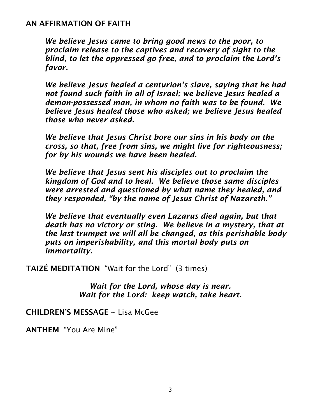## AN AFFIRMATION OF FAITH

*We believe Jesus came to bring good news to the poor, to proclaim release to the captives and recovery of sight to the blind, to let the oppressed go free, and to proclaim the Lord's favor.*

*We believe Jesus healed a centurion's slave, saying that he had not found such faith in all of Israel; we believe Jesus healed a demon-possessed man, in whom no faith was to be found. We believe Jesus healed those who asked; we believe Jesus healed those who never asked.*

*We believe that Jesus Christ bore our sins in his body on the cross, so that, free from sins, we might live for righteousness; for by his wounds we have been healed.*

*We believe that Jesus sent his disciples out to proclaim the kingdom of God and to heal. We believe those same disciples were arrested and questioned by what name they healed, and they responded, "by the name of Jesus Christ of Nazareth."*

*We believe that eventually even Lazarus died again, but that death has no victory or sting. We believe in a mystery, that at the last trumpet we will all be changed, as this perishable body puts on imperishability, and this mortal body puts on immortality.*

TAIZÉ MEDITATION "Wait for the Lord" (3 times)

*Wait for the Lord, whose day is near. Wait for the Lord: keep watch, take heart.*

CHILDREN'S MESSAGE ~ Lisa McGee

ANTHEM "You Are Mine"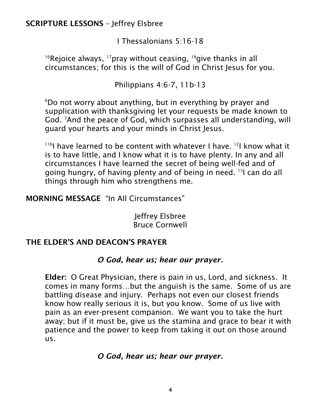SCRIPTURE LESSONS – Jeffrey Elsbree

I Thessalonians 5:16-18

<sup>16</sup>Rejoice always, <sup>17</sup> pray without ceasing,  $^{18}$  give thanks in all circumstances; for this is the will of God in Christ Jesus for you.

Philippians 4:6-7, 11b-13

<sup>6</sup>Do not worry about anything, but in everything by prayer and supplication with thanksgiving let your requests be made known to God. <sup>7</sup>And the peace of God, which surpasses all understanding, will guard your hearts and your minds in Christ Jesus.

<sup>11b</sup>I have learned to be content with whatever I have. <sup>12</sup>I know what it is to have little, and I know what it is to have plenty. In any and all circumstances I have learned the secret of being well-fed and of going hungry, of having plenty and of being in need. <sup>13</sup>I can do all things through him who strengthens me.

MORNING MESSAGE "In All Circumstances"

Jeffrey Elsbree Bruce Cornwell

# THE ELDER'S AND DEACON'S PRAYER

# *O God, hear us; hear our prayer.*

Elder: O Great Physician, there is pain in us, Lord, and sickness. It comes in many forms…but the anguish is the same. Some of us are battling disease and injury. Perhaps not even our closest friends know how really serious it is, but you know. Some of us live with pain as an ever-present companion. We want you to take the hurt away; but if it must be, give us the stamina and grace to bear it with patience and the power to keep from taking it out on those around us.

## *O God, hear us; hear our prayer.*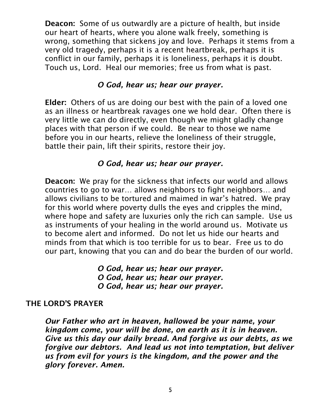Deacon: Some of us outwardly are a picture of health, but inside our heart of hearts, where you alone walk freely, something is wrong, something that sickens joy and love. Perhaps it stems from a very old tragedy, perhaps it is a recent heartbreak, perhaps it is conflict in our family, perhaps it is loneliness, perhaps it is doubt. Touch us, Lord. Heal our memories; free us from what is past.

## *O God, hear us; hear our prayer.*

Elder: Others of us are doing our best with the pain of a loved one as an illness or heartbreak ravages one we hold dear. Often there is very little we can do directly, even though we might gladly change places with that person if we could. Be near to those we name before you in our hearts, relieve the loneliness of their struggle, battle their pain, lift their spirits, restore their joy.

## *O God, hear us; hear our prayer.*

Deacon: We pray for the sickness that infects our world and allows countries to go to war… allows neighbors to fight neighbors… and allows civilians to be tortured and maimed in war's hatred. We pray for this world where poverty dulls the eyes and cripples the mind, where hope and safety are luxuries only the rich can sample. Use us as instruments of your healing in the world around us. Motivate us to become alert and informed. Do not let us hide our hearts and minds from that which is too terrible for us to bear. Free us to do our part, knowing that you can and do bear the burden of our world.

> *O God, hear us; hear our prayer. O God, hear us; hear our prayer. O God, hear us; hear our prayer.*

## THE LORD'S PRAYER

*Our Father who art in heaven, hallowed be your name, your kingdom come, your will be done, on earth as it is in heaven. Give us this day our daily bread. And forgive us our debts, as we forgive our debtors. And lead us not into temptation, but deliver us from evil for yours is the kingdom, and the power and the glory forever. Amen.*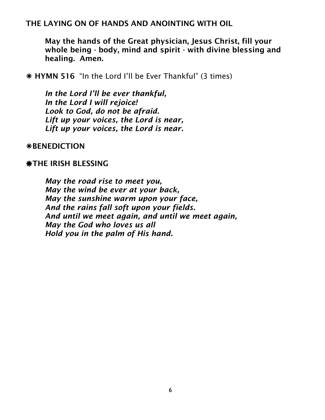## THE LAYING ON OF HANDS AND ANOINTING WITH OIL

May the hands of the Great physician, Jesus Christ, fill your whole being - body, mind and spirit - with divine blessing and healing. Amen.

HYMN 516 "In the Lord I'll be Ever Thankful" (3 times)

*In the Lord I'll be ever thankful, In the Lord I will rejoice! Look to God, do not be afraid. Lift up your voices, the Lord is near, Lift up your voices, the Lord is near.*

**\*BENEDICTION** 

### **\*THE IRISH BLESSING**

*May the road rise to meet you, May the wind be ever at your back, May the sunshine warm upon your face, And the rains fall soft upon your fields. And until we meet again, and until we meet again, May the God who loves us all Hold you in the palm of His hand.*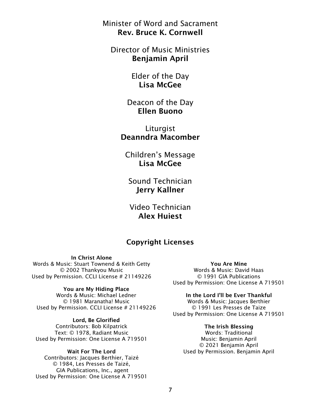Minister of Word and Sacrament Rev. Bruce K. Cornwell

Director of Music Ministries Benjamin April

> Elder of the Day Lisa McGee

Deacon of the Day Ellen Buono

Liturgist Deanndra Macomber

Children's Message Lisa McGee

Sound Technician Jerry Kallner

Video Technician Alex Huiest

## Copyright Licenses

In Christ Alone Words & Music: Stuart Townend & Keith Getty © 2002 Thankyou Music Used by Permission. CCLI License # 21149226

#### You are My Hiding Place

Words & Music: Michael Ledner © 1981 Maranatha! Music Used by Permission. CCLI License # 21149226

Lord, Be Glorified

Contributors: Bob Kilpatrick Text: © 1978, Radiant Music Used by Permission: One License A 719501

#### Wait For The Lord

Contributors: Jacques Berthier, Taizé © 1984, Les Presses de Taizé, GIA Publications, Inc., agent Used by Permission: One License A 719501

You Are Mine Words & Music: David Haas © 1991 GIA Publications Used by Permission: One License A 719501

#### In the Lord I'll be Ever Thankful

Words & Music: Jacques Berthier © 1991 Les Presses de Taize Used by Permission: One License A 719501

#### The Irish Blessing

Words: Traditional Music: Benjamin April © 2021 Benjamin April Used by Permission. Benjamin April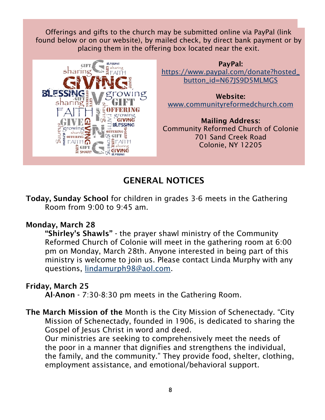Offerings and gifts to the church may be submitted online via PayPal (link found below or on our website), by mailed check, by direct bank payment or by placing them in the offering box located near the exit.





Website: [www.communityreformedchurch.com](http://www.communityreformedchurch.com/)

Mailing Address: Community Reformed Church of Colonie 701 Sand Creek Road Colonie, NY 12205

# GENERAL NOTICES

Today, Sunday School for children in grades 3-6 meets in the Gathering Room from 9:00 to 9:45 am.

# Monday, March 28

"Shirley's Shawls" - the prayer shawl ministry of the Community Reformed Church of Colonie will meet in the gathering room at 6:00 pm on Monday, March 28th. Anyone interested in being part of this ministry is welcome to join us. Please contact Linda Murphy with any questions, [lindamurph98@aol.com.](mailto:lindamurph98@aol.com)

# Friday, March 25

Al-Anon - 7:30-8:30 pm meets in the Gathering Room.

The March Mission of the Month is the City Mission of Schenectady. "City Mission of Schenectady, founded in 1906, is dedicated to sharing the Gospel of Jesus Christ in word and deed.

Our ministries are seeking to comprehensively meet the needs of the poor in a manner that dignifies and strengthens the individual, the family, and the community." They provide food, shelter, clothing, employment assistance, and emotional/behavioral support.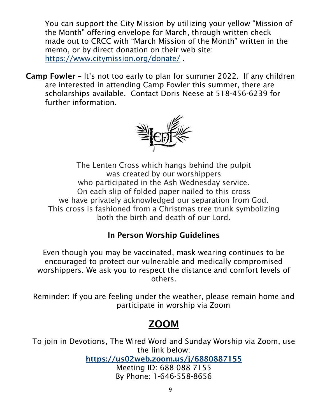You can support the City Mission by utilizing your yellow "Mission of the Month" offering envelope for March, through written check made out to CRCC with "March Mission of the Month" written in the memo, or by direct donation on their web site: <https://www.citymission.org/donate/> .

Camp Fowler – It's not too early to plan for summer 2022. If any children are interested in attending Camp Fowler this summer, there are scholarships available. Contact Doris Neese at 518-456-6239 for further information.



The Lenten Cross which hangs behind the pulpit was created by our worshippers who participated in the Ash Wednesday service. On each slip of folded paper nailed to this cross we have privately acknowledged our separation from God. This cross is fashioned from a Christmas tree trunk symbolizing both the birth and death of our Lord.

# In Person Worship Guidelines

Even though you may be vaccinated, mask wearing continues to be encouraged to protect our vulnerable and medically compromised worshippers. We ask you to respect the distance and comfort levels of others.

Reminder: If you are feeling under the weather, please remain home and participate in worship via Zoom

# ZOOM

To join in Devotions, The Wired Word and Sunday Worship via Zoom, use the link below:

<https://us02web.zoom.us/j/6880887155>

Meeting ID: 688 088 7155 By Phone: 1-646-558-8656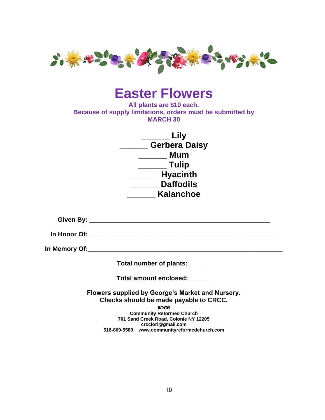

# **Easter Flowers**

**All plants are \$10 each. Because of supply limitations, orders must be submitted by MARCH 30**

| Lily                 |
|----------------------|
| <b>Gerbera Daisy</b> |
| Mum                  |
| <b>Tulip</b>         |
| <b>Hyacinth</b>      |
| <b>Daffodils</b>     |
| Kalanchoe            |

**Given By: \_\_\_\_\_\_\_\_\_\_\_\_\_\_\_\_\_\_\_\_\_\_\_\_\_\_\_\_\_\_\_\_\_\_\_\_\_\_\_\_\_\_\_\_\_\_\_\_\_\_\_**

**In Honor Of: In the contract of**  $\mathbf{C}$ 

**In Memory Of:\_\_\_\_\_\_\_\_\_\_\_\_\_\_\_\_\_\_\_\_\_\_\_\_\_\_\_\_\_\_\_\_\_\_\_\_\_\_\_\_\_\_\_\_\_\_\_\_\_\_\_\_\_\_\_**

**Total number of plants: \_\_\_\_\_\_**

**Total amount enclosed: \_\_\_\_\_\_**

**Flowers supplied by George's Market and Nursery. Checks should be made payable to CRCC.** 

ନ୍ଦ୍ରତଃ

**Community Reformed Church 701 Sand Creek Road, Colonie NY 12205 crcclori@gmail.com 518-869-5589 www.communityreformedchurch.com**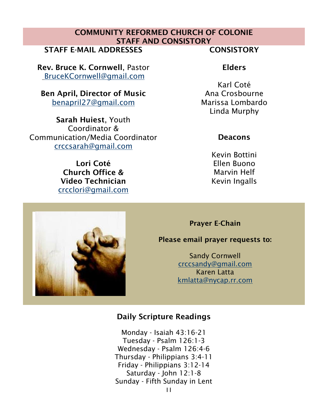# COMMUNITY REFORMED CHURCH OF COLONIE STAFF AND CONSISTORY

STAFF E-MAIL ADDRESSES FOR THE CONSISTORY

Rev. Bruce K. Cornwell, Pastor [BruceKCornwell@gmail.com](mailto:BruceKCornwell@gmail.com)

Ben April, Director of Music benapril27@gmail.com

Sarah Huiest, Youth Coordinator & Communication/Media Coordinator [crccsarah@gmail.com](mailto:crccsarah@gmail.com)

> Lori Coté Church Office & Video Technician [crcclori@gmail.com](mailto:crcclori@gmail.com)

# Elders

Karl Coté Ana Crosbourne Marissa Lombardo Linda Murphy

## **Deacons**

Kevin Bottini Ellen Buono Marvin Helf Kevin Ingalls

Prayer E-Chain

### Please email prayer requests to:

Sandy Cornwell [crccsandy@gmail.com](mailto:crccsandy@gmail.com) Karen Latta [kmlatta@nycap.rr.com](mailto:kmlatta@nycap.rr.com)

## Daily Scripture Readings

11 Monday - Isaiah 43:16-21 Tuesday - Psalm 126:1-3 Wednesday - Psalm 126:4-6 Thursday - Philippians 3:4-11 Friday - Philippians 3:12-14 Saturday - John 12:1-8 Sunday - Fifth Sunday in Lent